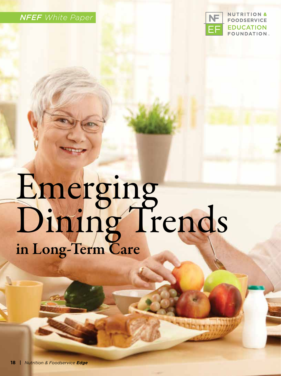



# Emerging Dining Trends in Long-Term Care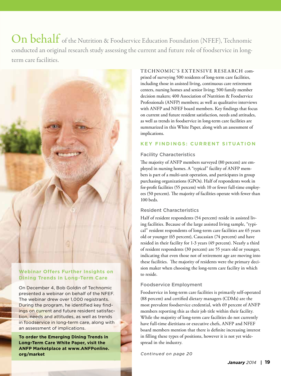On behalf of the Nutrition & Foodservice Education Foundation (NFEF), Technomic conducted an original research study assessing the current and future role of foodservice in longterm care facilities.



# **Webinar Offers Further Insights on Dining Trends in Long-Term Care**

On December 4, Bob Goldin of Technomic presented a webinar on behalf of the NFEF. The webinar drew over 1,000 registrants. During the program, he identified key findings on current and future resident satisfaction, needs and attitudes, as well as trends in foodservice in long-term care, along with an assessment of implications.

**To order the Emerging Dining Trends in Long-Term Care White Paper, visit the ANFP Marketplace at www.ANFPonline. org/market**

TECHNOMIC'S EXTENSIVE RESEARCH comprised of surveying 500 residents of long-term care facilities, including those in assisted living, continuous care retirement centers, nursing homes and senior living; 500 family member decision makers; 400 Association of Nutrition & Foodservice Professionals (ANFP) members; as well as qualitative interviews with ANFP and NFEF board members. Key findings that focus on current and future resident satisfaction, needs and attitudes, as well as trends in foodservice in long-term care facilities are summarized in this White Paper, along with an assessment of implications.

#### **KEY FINDINGS: CURRENT SITUATION**

#### Facility Characteristics

The majority of ANFP members surveyed (80 percent) are employed in nursing homes. A "typical" facility of ANFP members is part of a multi-unit operation, and participates in group purchasing organizations (GPOs). Half of respondents work in for-profit facilities (55 percent) with 10 or fewer full-time employees (50 percent). The majority of facilities operate with fewer than 100 beds.

## Resident Characteristics

Half of resident respondents (54 percent) reside in assisted living facilities. Because of the large assisted living sample, "typical" resident respondents of long-term care facilities are 65 years old or younger (65 percent), Caucasian (74 percent) and have resided in their facility for 1-3 years (49 percent). Nearly a third of resident respondents (30 percent) are 55 years old or younger, indicating that even those not of retirement age are moving into these facilities. The majority of residents were the primary decision maker when choosing the long-term care facility in which to reside.

## Foodservice Employment

Foodservice in long-term care facilities is primarily self-operated (88 percent) and certified dietary managers (CDMs) are the most prevalent foodservice credential, with 69 percent of ANFP members reporting this as their job title within their facility. While the majority of long-term care facilities do not currently have full-time dietitians or executive chefs, ANFP and NFEF board members mention that there is definite increasing interest in filling these types of positions, however it is not yet widespread in the industry.

*Continued on page 20*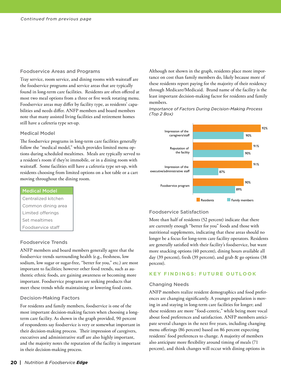#### Foodservice Areas and Programs

Tray service, room service, and dining rooms with waitstaff are the foodservice programs and service areas that are typically found in long-term care facilities. Residents are often offered at most two meal options from a three or five week rotating menu. Foodservice areas may differ by facility type, as residents' capabilities and needs differ. ANFP members and board members note that many assisted living facilities and retirement homes still have a cafeteria type set-up.

#### Medical Model

The foodservice programs in long-term care facilities generally follow the "medical model," which provides limited menu options during scheduled mealtimes. Meals are typically served to a resident's room if they're immobile, or in a dining room with waitstaff. Some facilities still have a cafeteria type set-up, with residents choosing from limited options on a hot table or a cart moving throughout the dining room.

#### Medical Model

Centralized kitchen Common dining area Limited offerings Set mealtimes Foodservice staff

#### Foodservice Trends

ANFP members and board members generally agree that the foodservice trends surrounding health (e.g., freshness, low sodium, low sugar or sugar-free, "better for you," etc.) are most important to facilities; however other food trends, such as authentic ethnic foods, are gaining awareness or becoming more important. Foodservice programs are seeking products that meet these trends while maintaining or lowering food costs.

#### Decision-Making Factors

For residents and family members, foodservice is one of the most important decision-making factors when choosing a longterm care facility. As shown in the graph provided, 90 percent of respondents say foodservice is very or somewhat important in their decision-making process. Their impression of caregivers, executives and administrative staff are also highly important, and the majority notes the reputation of the facility is important in their decision-making process.

Although not shown in the graph, residents place more importance on cost than family members do, likely because more of these residents report paying for the majority of their residency through Medicare/Medicaid. Brand name of the facility is the least important decision-making factor for residents and family members.

#### *Importance of Factors During Decision-Making Process (Top 2 Box)*



#### Foodservice Satisfaction

More than half of residents (52 percent) indicate that there are currently enough "better for you" foods and those with nutritional supplements, indicating that these areas should no longer be a focus for long-term care facility operators. Residents are generally satisfied with their facility's foodservice, but want more snacking options (40 percent), dining hours available all day (39 percent), fresh (39 percent), and grab & go options (38 percent).

## **KEY FINDINGS: FUTURE OUTLOOK**

#### Changing Needs

ANFP members realize resident demographics and food preferences are changing significantly. A younger population is moving in and staying in long-term care facilities for longer; and these residents are more "food-centric," while being more vocal about food preferences and satisfaction. ANFP members anticipate several changes in the next five years, including changing menu offerings (86 percent) based on 86 percent expecting residents' food preferences to change. A majority of members also anticipate more flexibility around timing of meals (71 percent), and think changes will occur with dining options in